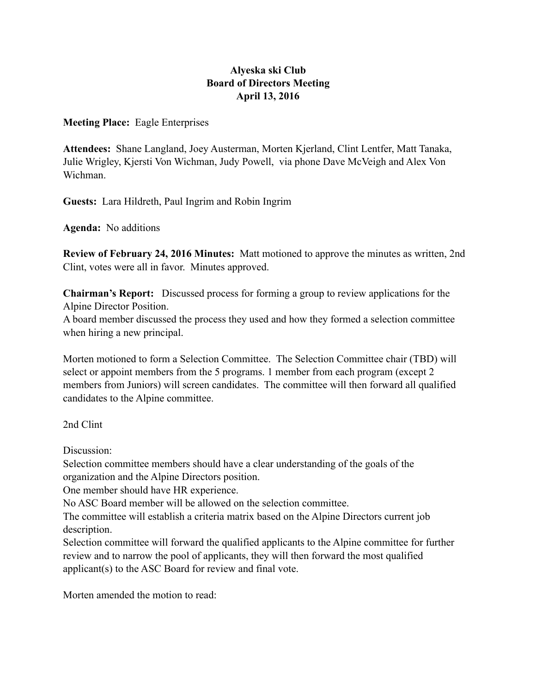# **Alyeska ski Club Board of Directors Meeting April 13, 2016**

**Meeting Place:** Eagle Enterprises

**Attendees:** Shane Langland, Joey Austerman, Morten Kjerland, Clint Lentfer, Matt Tanaka, Julie Wrigley, Kjersti Von Wichman, Judy Powell, via phone Dave McVeigh and Alex Von Wichman.

**Guests:** Lara Hildreth, Paul Ingrim and Robin Ingrim

**Agenda:** No additions

**Review of February 24, 2016 Minutes:** Matt motioned to approve the minutes as written, 2nd Clint, votes were all in favor. Minutes approved.

**Chairman's Report:** Discussed process for forming a group to review applications for the Alpine Director Position.

A board member discussed the process they used and how they formed a selection committee when hiring a new principal.

Morten motioned to form a Selection Committee. The Selection Committee chair (TBD) will select or appoint members from the 5 programs. 1 member from each program (except 2 members from Juniors) will screen candidates. The committee will then forward all qualified candidates to the Alpine committee.

2nd Clint

Discussion:

Selection committee members should have a clear understanding of the goals of the organization and the Alpine Directors position.

One member should have HR experience.

No ASC Board member will be allowed on the selection committee.

The committee will establish a criteria matrix based on the Alpine Directors current job description.

Selection committee will forward the qualified applicants to the Alpine committee for further review and to narrow the pool of applicants, they will then forward the most qualified applicant(s) to the ASC Board for review and final vote.

Morten amended the motion to read: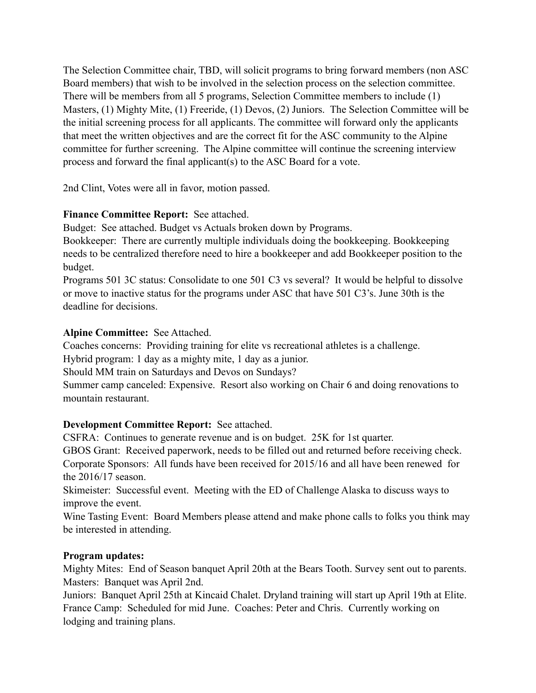The Selection Committee chair, TBD, will solicit programs to bring forward members (non ASC Board members) that wish to be involved in the selection process on the selection committee. There will be members from all 5 programs, Selection Committee members to include (1) Masters, (1) Mighty Mite, (1) Freeride, (1) Devos, (2) Juniors. The Selection Committee will be the initial screening process for all applicants. The committee will forward only the applicants that meet the written objectives and are the correct fit for the ASC community to the Alpine committee for further screening. The Alpine committee will continue the screening interview process and forward the final applicant(s) to the ASC Board for a vote.

2nd Clint, Votes were all in favor, motion passed.

### **Finance Committee Report:** See attached.

Budget: See attached. Budget vs Actuals broken down by Programs.

Bookkeeper: There are currently multiple individuals doing the bookkeeping. Bookkeeping needs to be centralized therefore need to hire a bookkeeper and add Bookkeeper position to the budget.

Programs 501 3C status: Consolidate to one 501 C3 vs several? It would be helpful to dissolve or move to inactive status for the programs under ASC that have 501 C3's. June 30th is the deadline for decisions.

## **Alpine Committee:** See Attached.

Coaches concerns: Providing training for elite vs recreational athletes is a challenge.

Hybrid program: 1 day as a mighty mite, 1 day as a junior.

Should MM train on Saturdays and Devos on Sundays?

Summer camp canceled: Expensive. Resort also working on Chair 6 and doing renovations to mountain restaurant.

# **Development Committee Report:** See attached.

CSFRA: Continues to generate revenue and is on budget. 25K for 1st quarter.

GBOS Grant: Received paperwork, needs to be filled out and returned before receiving check. Corporate Sponsors: All funds have been received for 2015/16 and all have been renewed for the 2016/17 season.

Skimeister: Successful event. Meeting with the ED of Challenge Alaska to discuss ways to improve the event.

Wine Tasting Event: Board Members please attend and make phone calls to folks you think may be interested in attending.

### **Program updates:**

Mighty Mites: End of Season banquet April 20th at the Bears Tooth. Survey sent out to parents. Masters: Banquet was April 2nd.

Juniors: Banquet April 25th at Kincaid Chalet. Dryland training will start up April 19th at Elite. France Camp: Scheduled for mid June. Coaches: Peter and Chris. Currently working on lodging and training plans.